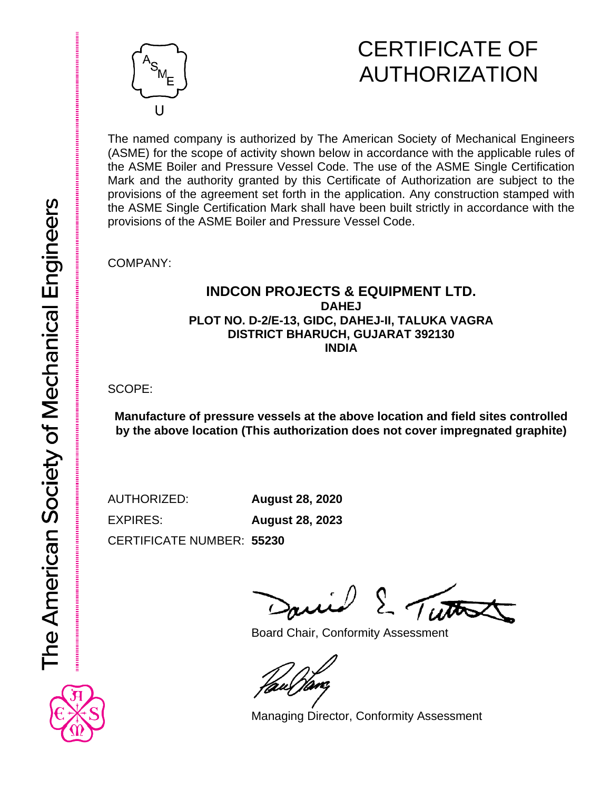## CERTIFICATE OF AUTHORIZATION

The named company is authorized by The American Society of Mechanical Engineers (ASME) for the scope of activity shown below in accordance with the applicable rules of the ASME Boiler and Pressure Vessel Code. The use of the ASME Single Certification Mark and the authority granted by this Certificate of Authorization are subject to the provisions of the agreement set forth in the application. Any construction stamped with the ASME Single Certification Mark shall have been built strictly in accordance with the provisions of the ASME Boiler and Pressure Vessel Code.

COMPANY:

#### **INDCON PROJECTS & EQUIPMENT LTD. DAHEJ PLOT NO. D-2/E-13, GIDC, DAHEJ-II, TALUKA VAGRA DISTRICT BHARUCH, GUJARAT 392130 INDIA**

SCOPE:

**Manufacture of pressure vessels at the above location and field sites controlled by the above location (This authorization does not cover impregnated graphite)**

AUTHORIZED: **August 28, 2020** EXPIRES: **August 28, 2023**

CERTIFICATE NUMBER: **55230**

**Titto** 

Board Chair, Conformity Assessment

Managing Director, Conformity Assessment

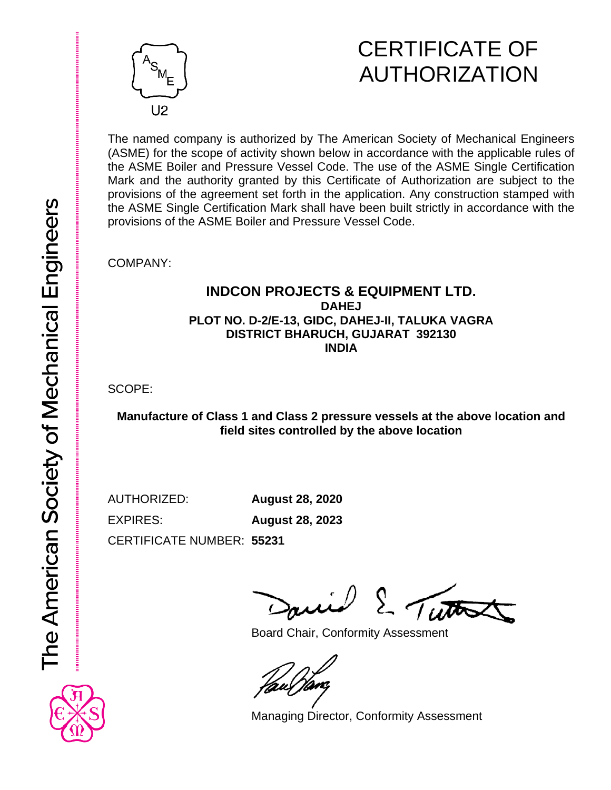

## CERTIFICATE OF AUTHORIZATION

The named company is authorized by The American Society of Mechanical Engineers (ASME) for the scope of activity shown below in accordance with the applicable rules of the ASME Boiler and Pressure Vessel Code. The use of the ASME Single Certification Mark and the authority granted by this Certificate of Authorization are subject to the provisions of the agreement set forth in the application. Any construction stamped with the ASME Single Certification Mark shall have been built strictly in accordance with the provisions of the ASME Boiler and Pressure Vessel Code.

COMPANY:

#### **INDCON PROJECTS & EQUIPMENT LTD. DAHEJ PLOT NO. D-2/E-13, GIDC, DAHEJ-II, TALUKA VAGRA DISTRICT BHARUCH, GUJARAT 392130 INDIA**

SCOPE:

**Manufacture of Class 1 and Class 2 pressure vessels at the above location and field sites controlled by the above location**

AUTHORIZED: **August 28, 2020** EXPIRES: **August 28, 2023**

CERTIFICATE NUMBER: **55231**

Titto

Board Chair, Conformity Assessment

Managing Director, Conformity Assessment